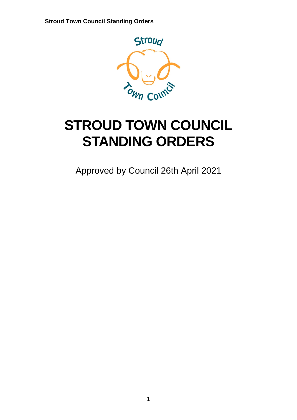

# **STROUD TOWN COUNCIL STANDING ORDERS**

Approved by Council 26th April 2021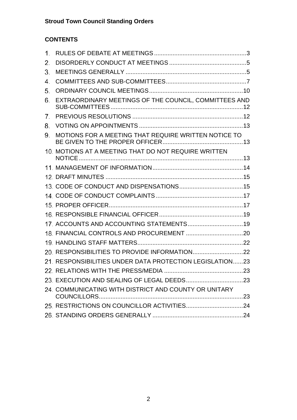# **CONTENTS**

| $\mathbf 1$ .  |                                                          |  |
|----------------|----------------------------------------------------------|--|
| 2.             |                                                          |  |
| 3.             |                                                          |  |
| 4.             |                                                          |  |
| 5.             |                                                          |  |
| 6.             | EXTRAORDINARY MEETINGS OF THE COUNCIL, COMMITTEES AND    |  |
| 7 <sub>1</sub> |                                                          |  |
| 8.             |                                                          |  |
| 9.             | MOTIONS FOR A MEETING THAT REQUIRE WRITTEN NOTICE TO     |  |
|                | 10. MOTIONS AT A MEETING THAT DO NOT REQUIRE WRITTEN     |  |
|                |                                                          |  |
|                |                                                          |  |
|                |                                                          |  |
|                |                                                          |  |
|                |                                                          |  |
|                |                                                          |  |
|                | 17. ACCOUNTS AND ACCOUNTING STATEMENTS 19                |  |
|                |                                                          |  |
|                |                                                          |  |
|                |                                                          |  |
|                | 21. RESPONSIBILITIES UNDER DATA PROTECTION LEGISLATION23 |  |
|                |                                                          |  |
|                |                                                          |  |
|                | 24. COMMUNICATING WITH DISTRICT AND COUNTY OR UNITARY    |  |
|                |                                                          |  |
|                |                                                          |  |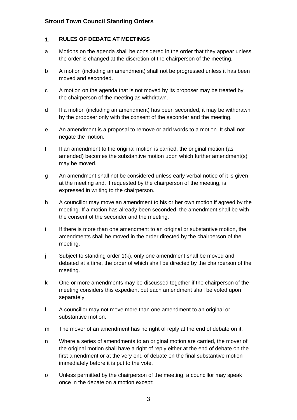#### <span id="page-2-0"></span> $1.$ **RULES OF DEBATE AT MEETINGS**

- a Motions on the agenda shall be considered in the order that they appear unless the order is changed at the discretion of the chairperson of the meeting.
- b A motion (including an amendment) shall not be progressed unless it has been moved and seconded.
- c A motion on the agenda that is not moved by its proposer may be treated by the chairperson of the meeting as withdrawn.
- d If a motion (including an amendment) has been seconded, it may be withdrawn by the proposer only with the consent of the seconder and the meeting.
- e An amendment is a proposal to remove or add words to a motion. It shall not negate the motion.
- f If an amendment to the original motion is carried, the original motion (as amended) becomes the substantive motion upon which further amendment(s) may be moved.
- g An amendment shall not be considered unless early verbal notice of it is given at the meeting and, if requested by the chairperson of the meeting, is expressed in writing to the chairperson.
- h A councillor may move an amendment to his or her own motion if agreed by the meeting. If a motion has already been seconded, the amendment shall be with the consent of the seconder and the meeting.
- i If there is more than one amendment to an original or substantive motion, the amendments shall be moved in the order directed by the chairperson of the meeting.
- j Subject to standing order 1(k), only one amendment shall be moved and debated at a time, the order of which shall be directed by the chairperson of the meeting.
- k One or more amendments may be discussed together if the chairperson of the meeting considers this expedient but each amendment shall be voted upon separately.
- l A councillor may not move more than one amendment to an original or substantive motion.
- m The mover of an amendment has no right of reply at the end of debate on it.
- n Where a series of amendments to an original motion are carried, the mover of the original motion shall have a right of reply either at the end of debate on the first amendment or at the very end of debate on the final substantive motion immediately before it is put to the vote.
- o Unless permitted by the chairperson of the meeting, a councillor may speak once in the debate on a motion except: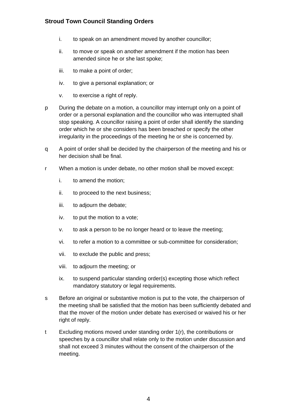- i. to speak on an amendment moved by another councillor;
- ii. to move or speak on another amendment if the motion has been amended since he or she last spoke;
- iii. to make a point of order;
- iv. to give a personal explanation; or
- v. to exercise a right of reply.
- p During the debate on a motion, a councillor may interrupt only on a point of order or a personal explanation and the councillor who was interrupted shall stop speaking. A councillor raising a point of order shall identify the standing order which he or she considers has been breached or specify the other irregularity in the proceedings of the meeting he or she is concerned by.
- q A point of order shall be decided by the chairperson of the meeting and his or her decision shall be final.
- r When a motion is under debate, no other motion shall be moved except:
	- i. to amend the motion;
	- ii. to proceed to the next business;
	- iii. to adjourn the debate;
	- iv. to put the motion to a vote;
	- v. to ask a person to be no longer heard or to leave the meeting;
	- vi. to refer a motion to a committee or sub-committee for consideration;
	- vii. to exclude the public and press;
	- viii. to adjourn the meeting; or
	- ix. to suspend particular standing order(s) excepting those which reflect mandatory statutory or legal requirements.
- s Before an original or substantive motion is put to the vote, the chairperson of the meeting shall be satisfied that the motion has been sufficiently debated and that the mover of the motion under debate has exercised or waived his or her right of reply.
- t Excluding motions moved under standing order 1(r), the contributions or speeches by a councillor shall relate only to the motion under discussion and shall not exceed 3 minutes without the consent of the chairperson of the meeting.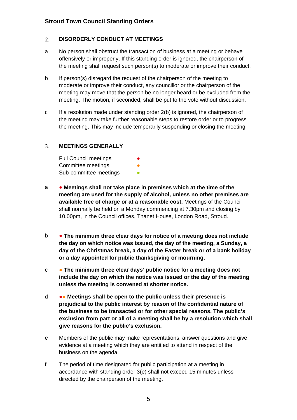#### <span id="page-4-0"></span> $2.$ **DISORDERLY CONDUCT AT MEETINGS**

- a No person shall obstruct the transaction of business at a meeting or behave offensively or improperly. If this standing order is ignored, the chairperson of the meeting shall request such person(s) to moderate or improve their conduct.
- b If person(s) disregard the request of the chairperson of the meeting to moderate or improve their conduct, any councillor or the chairperson of the meeting may move that the person be no longer heard or be excluded from the meeting. The motion, if seconded, shall be put to the vote without discussion.
- c If a resolution made under standing order 2(b) is ignored, the chairperson of the meeting may take further reasonable steps to restore order or to progress the meeting. This may include temporarily suspending or closing the meeting.

#### <span id="page-4-1"></span>**MEETINGS GENERALLY**  $3.$

| <b>Full Council meetings</b> | $\bullet$ |
|------------------------------|-----------|
| Committee meetings           | ●         |
| Sub-committee meetings       | n         |

- a **Meetings shall not take place in premises which at the time of the meeting are used for the supply of alcohol, unless no other premises are available free of charge or at a reasonable cost.** Meetings of the Council shall normally be held on a Monday commencing at 7.30pm and closing by 10.00pm, in the Council offices, Thanet House, London Road, Stroud.
- b **The minimum three clear days for notice of a meeting does not include the day on which notice was issued, the day of the meeting, a Sunday, a day of the Christmas break, a day of the Easter break or of a bank holiday or a day appointed for public thanksgiving or mourning.**
- c **The minimum three clear days' public notice for a meeting does not include the day on which the notice was issued or the day of the meeting unless the meeting is convened at shorter notice.**
- d ●● **Meetings shall be open to the public unless their presence is prejudicial to the public interest by reason of the confidential nature of the business to be transacted or for other special reasons. The public's exclusion from part or all of a meeting shall be by a resolution which shall give reasons for the public's exclusion.**
- e Members of the public may make representations, answer questions and give evidence at a meeting which they are entitled to attend in respect of the business on the agenda.
- f The period of time designated for public participation at a meeting in accordance with standing order 3(e) shall not exceed 15 minutes unless directed by the chairperson of the meeting.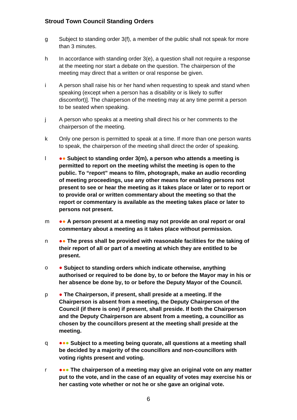- g Subject to standing order 3(f), a member of the public shall not speak for more than 3 minutes.
- h In accordance with standing order 3(e), a question shall not require a response at the meeting nor start a debate on the question. The chairperson of the meeting may direct that a written or oral response be given.
- i A person shall raise his or her hand when requesting to speak and stand when speaking (except when a person has a disability or is likely to suffer discomfort)]. The chairperson of the meeting may at any time permit a person to be seated when speaking.
- j A person who speaks at a meeting shall direct his or her comments to the chairperson of the meeting.
- k Only one person is permitted to speak at a time. If more than one person wants to speak, the chairperson of the meeting shall direct the order of speaking.
- l ●● **Subject to standing order 3(m), a person who attends a meeting is permitted to report on the meeting whilst the meeting is open to the public. To "report" means to film, photograph, make an audio recording of meeting proceedings, use any other means for enabling persons not present to see or hear the meeting as it takes place or later or to report or to provide oral or written commentary about the meeting so that the report or commentary is available as the meeting takes place or later to persons not present.**
- m ●● **A person present at a meeting may not provide an oral report or oral commentary about a meeting as it takes place without permission.**
- n ●● **The press shall be provided with reasonable facilities for the taking of their report of all or part of a meeting at which they are entitled to be present.**
- o **Subject to standing orders which indicate otherwise, anything authorised or required to be done by, to or before the Mayor may in his or her absence be done by, to or before the Deputy Mayor of the Council.**
- p **The Chairperson, if present, shall preside at a meeting. If the Chairperson is absent from a meeting, the Deputy Chairperson of the Council (if there is one) if present, shall preside. If both the Chairperson and the Deputy Chairperson are absent from a meeting, a councillor as chosen by the councillors present at the meeting shall preside at the meeting.**
- q ●●● **Subject to a meeting being quorate, all questions at a meeting shall be decided by a majority of the councillors and non-councillors with voting rights present and voting.**
- r ●●● **The chairperson of a meeting may give an original vote on any matter put to the vote, and in the case of an equality of votes may exercise his or her casting vote whether or not he or she gave an original vote.**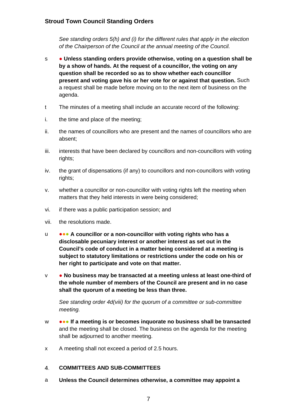*See standing orders 5(h) and (i) for the different rules that apply in the election of the Chairperson of the Council at the annual meeting of the Council.*

- s **Unless standing orders provide otherwise, voting on a question shall be by a show of hands. At the request of a councillor, the voting on any question shall be recorded so as to show whether each councillor present and voting gave his or her vote for or against that question.** Such a request shall be made before moving on to the next item of business on the agenda.
- t The minutes of a meeting shall include an accurate record of the following:
- i. the time and place of the meeting;
- ii. the names of councillors who are present and the names of councillors who are absent;
- iii. interests that have been declared by councillors and non-councillors with voting rights;
- iv. the grant of dispensations (if any) to councillors and non-councillors with voting rights;
- v. whether a councillor or non-councillor with voting rights left the meeting when matters that they held interests in were being considered;
- vi. if there was a public participation session; and
- vii. the resolutions made.
- u ●●● **A councillor or a non-councillor with voting rights who has a disclosable pecuniary interest or another interest as set out in the Council's code of conduct in a matter being considered at a meeting is subject to statutory limitations or restrictions under the code on his or her right to participate and vote on that matter.**
- v **No business may be transacted at a meeting unless at least one-third of the whole number of members of the Council are present and in no case shall the quorum of a meeting be less than three.**

*See standing order 4d(viii) for the quorum of a committee or sub-committee meeting.* 

- w ●●● **If a meeting is or becomes inquorate no business shall be transacted** and the meeting shall be closed. The business on the agenda for the meeting shall be adjourned to another meeting.
- x A meeting shall not exceed a period of 2.5 hours.

#### <span id="page-6-0"></span> $4.$ **COMMITTEES AND SUB-COMMITTEES**

a **Unless the Council determines otherwise, a committee may appoint a**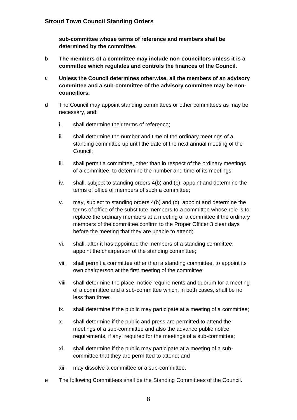**sub-committee whose terms of reference and members shall be determined by the committee.**

- b **The members of a committee may include non-councillors unless it is a committee which regulates and controls the finances of the Council.**
- c **Unless the Council determines otherwise, all the members of an advisory committee and a sub-committee of the advisory committee may be noncouncillors.**
- d The Council may appoint standing committees or other committees as may be necessary, and:
	- i. shall determine their terms of reference;
	- ii. shall determine the number and time of the ordinary meetings of a standing committee up until the date of the next annual meeting of the Council;
	- iii. shall permit a committee, other than in respect of the ordinary meetings of a committee, to determine the number and time of its meetings;
	- iv. shall, subject to standing orders 4(b) and (c), appoint and determine the terms of office of members of such a committee;
	- v. may, subject to standing orders 4(b) and (c), appoint and determine the terms of office of the substitute members to a committee whose role is to replace the ordinary members at a meeting of a committee if the ordinary members of the committee confirm to the Proper Officer 3 clear days before the meeting that they are unable to attend;
	- vi. shall, after it has appointed the members of a standing committee, appoint the chairperson of the standing committee;
	- vii. shall permit a committee other than a standing committee, to appoint its own chairperson at the first meeting of the committee;
	- viii. shall determine the place, notice requirements and quorum for a meeting of a committee and a sub-committee which, in both cases, shall be no less than three;
	- ix. shall determine if the public may participate at a meeting of a committee;
	- x. shall determine if the public and press are permitted to attend the meetings of a sub-committee and also the advance public notice requirements, if any, required for the meetings of a sub-committee;
	- xi. shall determine if the public may participate at a meeting of a subcommittee that they are permitted to attend; and
	- xii. may dissolve a committee or a sub-committee.
- e The following Committees shall be the Standing Committees of the Council.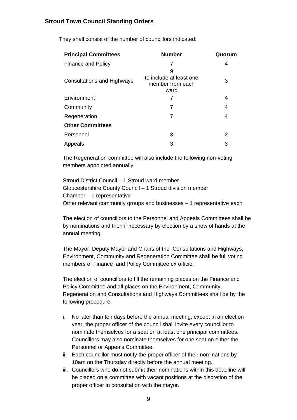| <b>Principal Committees</b>       | <b>Number</b>                                            | Quorum |
|-----------------------------------|----------------------------------------------------------|--------|
| <b>Finance and Policy</b>         |                                                          | 4      |
| <b>Consultations and Highways</b> | 9<br>to include at least one<br>member from each<br>ward | 3      |
| Environment                       |                                                          | 4      |
| Community                         | 7                                                        | 4      |
| Regeneration                      | 7                                                        | 4      |
| <b>Other Committees</b>           |                                                          |        |
| Personnel                         | 3                                                        | 2      |
| Appeals                           | 3                                                        | 3      |

They shall consist of the number of councillors indicated:

The Regeneration committee will also include the following non-voting members appointed annually:

Stroud District Council – 1 Stroud ward member Gloucestershire County Council – 1 Stroud division member Chamber – 1 representative Other relevant community groups and businesses – 1 representative each

The election of councillors to the Personnel and Appeals Committees shall be by nominations and then if necessary by election by a show of hands at the annual meeting.

The Mayor, Deputy Mayor and Chairs of the Consultations and Highways, Environment, Community and Regeneration Committee shall be full voting members of Finance and Policy Committee ex officio.

The election of councillors to fill the remaining places on the Finance and Policy Committee and all places on the Environment, Community, Regeneration and Consultations and Highways Committees shall be by the following procedure.

- i. No later than ten days before the annual meeting, except in an election year, the proper officer of the council shall invite every councillor to nominate themselves for a seat on at least one principal committees. Councillors may also nominate themselves for one seat on either the Personnel or Appeals Committee.
- ii. Each councillor must notify the proper officer of their nominations by 10am on the Thursday directly before the annual meeting.
- iii. Councillors who do not submit their nominations within this deadline will be placed on a committee with vacant positions at the discretion of the proper officer in consultation with the mayor.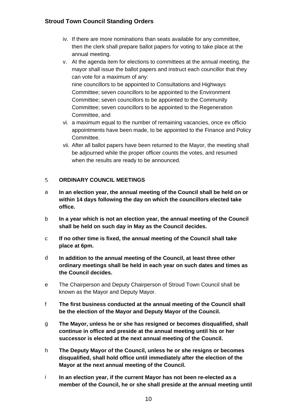- iv. If there are more nominations than seats available for any committee, then the clerk shall prepare ballot papers for voting to take place at the annual meeting.
- v. At the agenda item for elections to committees at the annual meeting, the mayor shall issue the ballot papers and instruct each councillor that they can vote for a maximum of any: nine councillors to be appointed to Consultations and Highways Committee; seven councillors to be appointed to the Environment Committee; seven councillors to be appointed to the Community Committee; seven councillors to be appointed to the Regeneration Committee, and
- vi. a maximum equal to the number of remaining vacancies, once ex officio appointments have been made, to be appointed to the Finance and Policy Committee.
- vii. After all ballot papers have been returned to the Mayor, the meeting shall be adjourned while the proper officer counts the votes, and resumed when the results are ready to be announced.

#### <span id="page-9-0"></span>**ORDINARY COUNCIL MEETINGS**   $5<sub>1</sub>$

- a **In an election year, the annual meeting of the Council shall be held on or within 14 days following the day on which the councillors elected take office.**
- b **In a year which is not an election year, the annual meeting of the Council shall be held on such day in May as the Council decides.**
- c **If no other time is fixed, the annual meeting of the Council shall take place at 6pm.**
- d **In addition to the annual meeting of the Council, at least three other ordinary meetings shall be held in each year on such dates and times as the Council decides.**
- e The Chairperson and Deputy Chairperson of Stroud Town Council shall be known as the Mayor and Deputy Mayor.
- f **The first business conducted at the annual meeting of the Council shall be the election of the Mayor and Deputy Mayor of the Council.**
- g **The Mayor, unless he or she has resigned or becomes disqualified, shall continue in office and preside at the annual meeting until his or her successor is elected at the next annual meeting of the Council.**
- h **The Deputy Mayor of the Council, unless he or she resigns or becomes disqualified, shall hold office until immediately after the election of the Mayor at the next annual meeting of the Council.**
- i **In an election year, if the current Mayor has not been re-elected as a member of the Council, he or she shall preside at the annual meeting until**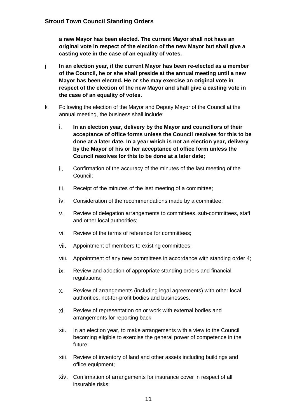**a new Mayor has been elected. The current Mayor shall not have an original vote in respect of the election of the new Mayor but shall give a casting vote in the case of an equality of votes.**

- j **In an election year, if the current Mayor has been re-elected as a member of the Council, he or she shall preside at the annual meeting until a new Mayor has been elected. He or she may exercise an original vote in respect of the election of the new Mayor and shall give a casting vote in the case of an equality of votes.**
- k Following the election of the Mayor and Deputy Mayor of the Council at the annual meeting, the business shall include:
	- i. **In an election year, delivery by the Mayor and councillors of their acceptance of office forms unless the Council resolves for this to be done at a later date. In a year which is not an election year, delivery by the Mayor of his or her acceptance of office form unless the Council resolves for this to be done at a later date;**
	- ii. Confirmation of the accuracy of the minutes of the last meeting of the Council;
	- iii. Receipt of the minutes of the last meeting of a committee;
	- iv. Consideration of the recommendations made by a committee;
	- v. Review of delegation arrangements to committees, sub-committees, staff and other local authorities;
	- vi. Review of the terms of reference for committees;
	- vii. Appointment of members to existing committees;
	- viii. Appointment of any new committees in accordance with standing order 4;
	- ix. Review and adoption of appropriate standing orders and financial regulations;
	- x. Review of arrangements (including legal agreements) with other local authorities, not-for-profit bodies and businesses.
	- xi. Review of representation on or work with external bodies and arrangements for reporting back;
	- xii. In an election year, to make arrangements with a view to the Council becoming eligible to exercise the general power of competence in the future;
	- xiii. Review of inventory of land and other assets including buildings and office equipment;
	- xiv. Confirmation of arrangements for insurance cover in respect of all insurable risks;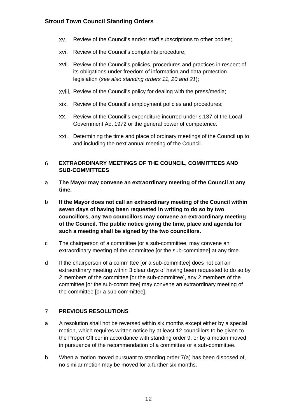- xv. Review of the Council's and/or staff subscriptions to other bodies;
- xvi. Review of the Council's complaints procedure;
- xvii. Review of the Council's policies, procedures and practices in respect of its obligations under freedom of information and data protection legislation (*see also standing orders 11, 20 and 21*);
- xviii. Review of the Council's policy for dealing with the press/media;
- xix. Review of the Council's employment policies and procedures;
- xx. Review of the Council's expenditure incurred under s.137 of the Local Government Act 1972 or the general power of competence.
- xxi. Determining the time and place of ordinary meetings of the Council up to and including the next annual meeting of the Council.

### <span id="page-11-0"></span>**EXTRAORDINARY MEETINGS OF THE COUNCIL, COMMITTEES AND**  6. **SUB-COMMITTEES**

- a **The Mayor may convene an extraordinary meeting of the Council at any time.**
- b **If the Mayor does not call an extraordinary meeting of the Council within seven days of having been requested in writing to do so by two councillors, any two councillors may convene an extraordinary meeting of the Council. The public notice giving the time, place and agenda for such a meeting shall be signed by the two councillors.**
- c The chairperson of a committee [or a sub-committee] may convene an extraordinary meeting of the committee [or the sub-committee] at any time.
- d If the chairperson of a committee [or a sub-committee] does not call an extraordinary meeting within 3 clear days of having been requested to do so by 2 members of the committee [or the sub-committee], any 2 members of the committee [or the sub-committee] may convene an extraordinary meeting of the committee [or a sub-committee].

#### <span id="page-11-1"></span> $7.$ **PREVIOUS RESOLUTIONS**

- a A resolution shall not be reversed within six months except either by a special motion, which requires written notice by at least 12 councillors to be given to the Proper Officer in accordance with standing order 9, or by a motion moved in pursuance of the recommendation of a committee or a sub-committee.
- b When a motion moved pursuant to standing order 7(a) has been disposed of, no similar motion may be moved for a further six months.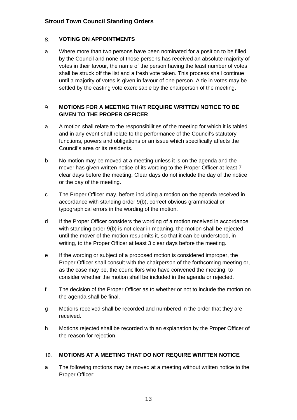#### <span id="page-12-0"></span>8. **VOTING ON APPOINTMENTS**

a Where more than two persons have been nominated for a position to be filled by the Council and none of those persons has received an absolute majority of votes in their favour, the name of the person having the least number of votes shall be struck off the list and a fresh vote taken. This process shall continue until a majority of votes is given in favour of one person. A tie in votes may be settled by the casting vote exercisable by the chairperson of the meeting.

### <span id="page-12-1"></span>**MOTIONS FOR A MEETING THAT REQUIRE WRITTEN NOTICE TO BE**  9. **GIVEN TO THE PROPER OFFICER**

- a A motion shall relate to the responsibilities of the meeting for which it is tabled and in any event shall relate to the performance of the Council's statutory functions, powers and obligations or an issue which specifically affects the Council's area or its residents.
- b No motion may be moved at a meeting unless it is on the agenda and the mover has given written notice of its wording to the Proper Officer at least 7 clear days before the meeting. Clear days do not include the day of the notice or the day of the meeting.
- c The Proper Officer may, before including a motion on the agenda received in accordance with standing order 9(b), correct obvious grammatical or typographical errors in the wording of the motion.
- d If the Proper Officer considers the wording of a motion received in accordance with standing order 9(b) is not clear in meaning, the motion shall be rejected until the mover of the motion resubmits it, so that it can be understood, in writing, to the Proper Officer at least 3 clear days before the meeting.
- e If the wording or subject of a proposed motion is considered improper, the Proper Officer shall consult with the chairperson of the forthcoming meeting or, as the case may be, the councillors who have convened the meeting, to consider whether the motion shall be included in the agenda or rejected.
- f The decision of the Proper Officer as to whether or not to include the motion on the agenda shall be final.
- g Motions received shall be recorded and numbered in the order that they are received.
- h Motions rejected shall be recorded with an explanation by the Proper Officer of the reason for rejection.

#### <span id="page-12-2"></span>**MOTIONS AT A MEETING THAT DO NOT REQUIRE WRITTEN NOTICE**   $10.$

a The following motions may be moved at a meeting without written notice to the Proper Officer: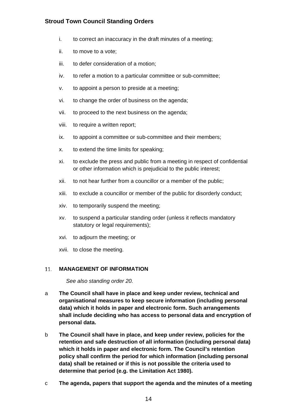- i. to correct an inaccuracy in the draft minutes of a meeting;
- ii. to move to a vote;
- iii. to defer consideration of a motion;
- iv. to refer a motion to a particular committee or sub-committee;
- v. to appoint a person to preside at a meeting;
- vi. to change the order of business on the agenda;
- vii. to proceed to the next business on the agenda;
- viii. to require a written report;
- ix. to appoint a committee or sub-committee and their members;
- x. to extend the time limits for speaking;
- xi. to exclude the press and public from a meeting in respect of confidential or other information which is prejudicial to the public interest;
- xii. to not hear further from a councillor or a member of the public;
- xiii. to exclude a councillor or member of the public for disorderly conduct;
- xiv. to temporarily suspend the meeting;
- xv. to suspend a particular standing order (unless it reflects mandatory statutory or legal requirements);
- xvi. to adjourn the meeting; or
- xvii. to close the meeting.

#### <span id="page-13-0"></span>**MANAGEMENT OF INFORMATION**   $11.$

*See also standing order 20.*

- a **The Council shall have in place and keep under review, technical and organisational measures to keep secure information (including personal data) which it holds in paper and electronic form. Such arrangements shall include deciding who has access to personal data and encryption of personal data.**
- b **The Council shall have in place, and keep under review, policies for the retention and safe destruction of all information (including personal data) which it holds in paper and electronic form. The Council's retention policy shall confirm the period for which information (including personal data) shall be retained or if this is not possible the criteria used to determine that period (e.g. the Limitation Act 1980).**
- c **The agenda, papers that support the agenda and the minutes of a meeting**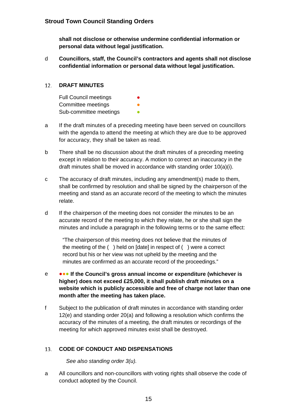**shall not disclose or otherwise undermine confidential information or personal data without legal justification.** 

d **Councillors, staff, the Council's contractors and agents shall not disclose confidential information or personal data without legal justification.**

#### <span id="page-14-0"></span> $12.$ **DRAFT MINUTES**

Full Council meetings Committee meetings Sub-committee meetings

- a If the draft minutes of a preceding meeting have been served on councillors with the agenda to attend the meeting at which they are due to be approved for accuracy, they shall be taken as read.
- b There shall be no discussion about the draft minutes of a preceding meeting except in relation to their accuracy. A motion to correct an inaccuracy in the draft minutes shall be moved in accordance with standing order 10(a)(i).
- c The accuracy of draft minutes, including any amendment(s) made to them, shall be confirmed by resolution and shall be signed by the chairperson of the meeting and stand as an accurate record of the meeting to which the minutes relate.
- d If the chairperson of the meeting does not consider the minutes to be an accurate record of the meeting to which they relate, he or she shall sign the minutes and include a paragraph in the following terms or to the same effect:

"The chairperson of this meeting does not believe that the minutes of the meeting of the ( ) held on [date] in respect of ( ) were a correct record but his or her view was not upheld by the meeting and the minutes are confirmed as an accurate record of the proceedings."

- e ●●● **If the Council's gross annual income or expenditure (whichever is higher) does not exceed £25,000, it shall publish draft minutes on a website which is publicly accessible and free of charge not later than one month after the meeting has taken place.**
- f Subject to the publication of draft minutes in accordance with standing order 12(e) and standing order 20(a) and following a resolution which confirms the accuracy of the minutes of a meeting, the draft minutes or recordings of the meeting for which approved minutes exist shall be destroyed.

#### <span id="page-14-1"></span>13. **CODE OF CONDUCT AND DISPENSATIONS**

*See also standing order 3(u).*

a All councillors and non-councillors with voting rights shall observe the code of conduct adopted by the Council.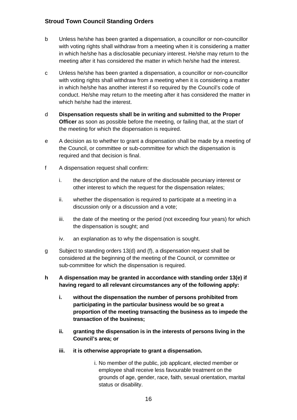- b Unless he/she has been granted a dispensation, a councillor or non-councillor with voting rights shall withdraw from a meeting when it is considering a matter in which he/she has a disclosable pecuniary interest. He/she may return to the meeting after it has considered the matter in which he/she had the interest.
- c Unless he/she has been granted a dispensation, a councillor or non-councillor with voting rights shall withdraw from a meeting when it is considering a matter in which he/she has another interest if so required by the Council's code of conduct. He/she may return to the meeting after it has considered the matter in which he/she had the interest.
- d **Dispensation requests shall be in writing and submitted to the Proper Officer** as soon as possible before the meeting, or failing that, at the start of the meeting for which the dispensation is required.
- e A decision as to whether to grant a dispensation shall be made by a meeting of the Council, or committee or sub-committee for which the dispensation is required and that decision is final.
- f A dispensation request shall confirm:
	- i. the description and the nature of the disclosable pecuniary interest or other interest to which the request for the dispensation relates;
	- ii. whether the dispensation is required to participate at a meeting in a discussion only or a discussion and a vote;
	- iii. the date of the meeting or the period (not exceeding four years) for which the dispensation is sought; and
	- iv. an explanation as to why the dispensation is sought.
- g Subject to standing orders 13(d) and (f), a dispensation request shall be considered at the beginning of the meeting of the Council, or committee or sub-committee for which the dispensation is required.
- **h A dispensation may be granted in accordance with standing order 13(e) if having regard to all relevant circumstances any of the following apply:**
	- **i. without the dispensation the number of persons prohibited from participating in the particular business would be so great a proportion of the meeting transacting the business as to impede the transaction of the business;**
	- **ii. granting the dispensation is in the interests of persons living in the Council's area; or**
	- **iii. it is otherwise appropriate to grant a dispensation.**
		- i. No member of the public, job applicant, elected member or employee shall receive less favourable treatment on the grounds of age, gender, race, faith, sexual orientation, marital status or disability.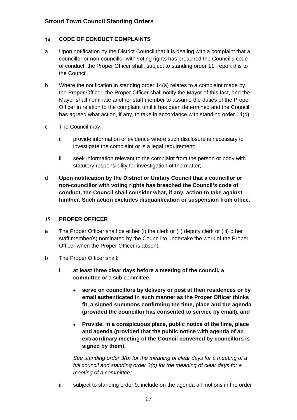#### <span id="page-16-0"></span>14. **CODE OF CONDUCT COMPLAINTS**

- a Upon notification by the District Council that it is dealing with a complaint that a councillor or non-councillor with voting rights has breached the Council's code of conduct, the Proper Officer shall, subject to standing order 11, report this to the Council.
- b Where the notification in standing order 14(a) relates to a complaint made by the Proper Officer, the Proper Officer shall notify the Mayor of this fact, and the Mayor shall nominate another staff member to assume the duties of the Proper Officer in relation to the complaint until it has been determined and the Council has agreed what action, if any, to take in accordance with standing order 14(d).
- c The Council may:
	- i. provide information or evidence where such disclosure is necessary to investigate the complaint or is a legal requirement;
	- ii. seek information relevant to the complaint from the person or body with statutory responsibility for investigation of the matter;
- d **Upon notification by the District or Unitary Council that a councillor or non-councillor with voting rights has breached the Council's code of conduct, the Council shall consider what, if any, action to take against him/her. Such action excludes disqualification or suspension from office.**

#### <span id="page-16-1"></span>15. **PROPER OFFICER**

- a The Proper Officer shall be either (i) the clerk or (ii) deputy clerk or (iii) other staff member(s) nominated by the Council to undertake the work of the Proper Officer when the Proper Officer is absent.
- b The Proper Officer shall:
	- i. **at least three clear days before a meeting of the council, a committee** or a sub-committee**,**
		- **serve on councillors by delivery or post at their residences or by email authenticated in such manner as the Proper Officer thinks fit, a signed summons confirming the time, place and the agenda (provided the councillor has consented to service by email), and**
		- **Provide, in a conspicuous place, public notice of the time, place and agenda (provided that the public notice with agenda of an extraordinary meeting of the Council convened by councillors is signed by them).**

*See standing order 3(b) for the meaning of clear days for a meeting of a full council and standing order 3(c) for the meaning of clear days for a meeting of a committee;*

ii. subject to standing order 9, include on the agenda all motions in the order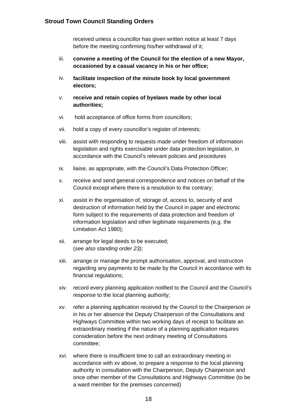received unless a councillor has given written notice at least 7 days before the meeting confirming his/her withdrawal of it;

- iii. **convene a meeting of the Council for the election of a new Mayor, occasioned by a casual vacancy in his or her office;**
- iv. **facilitate inspection of the minute book by local government electors;**
- v. **receive and retain copies of byelaws made by other local authorities;**
- vi. hold acceptance of office forms from councillors;
- vii. hold a copy of every councillor's register of interests;
- viii. assist with responding to requests made under freedom of information legislation and rights exercisable under data protection legislation, in accordance with the Council's relevant policies and procedures
- ix. liaise, as appropriate, with the Council's Data Protection Officer;
- x. receive and send general correspondence and notices on behalf of the Council except where there is a resolution to the contrary;
- xi. assist in the organisation of, storage of, access to, security of and destruction of information held by the Council in paper and electronic form subject to the requirements of data protection and freedom of information legislation and other legitimate requirements (e.g. the Limitation Act 1980);
- xii. arrange for legal deeds to be executed; (*see also standing order 23);*
- xiii. arrange or manage the prompt authorisation, approval, and instruction regarding any payments to be made by the Council in accordance with its financial regulations;
- xiv. record every planning application notified to the Council and the Council's response to the local planning authority;
- xv. refer a planning application received by the Council to the Chairperson or in his or her absence the Deputy Chairperson of the Consultations and Highways Committee within two working days of receipt to facilitate an extraordinary meeting if the nature of a planning application requires consideration before the next ordinary meeting of Consultations committee;
- xvi. where there is insufficient time to call an extraordinary meeting in accordance with xv above, to prepare a response to the local planning authority in consultation with the Chairperson, Deputy Chairperson and once other member of the Consultations and Highways Committee (to be a ward member for the premises concerned)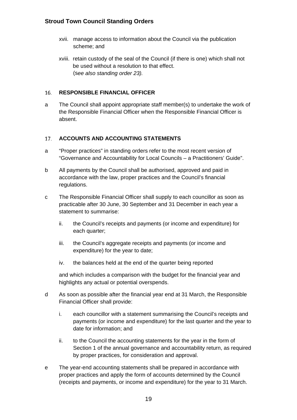- xvii. manage access to information about the Council via the publication scheme; and
- xviii. retain custody of the seal of the Council (if there is one) which shall not be used without a resolution to that effect. (s*ee also standing order 23).*

#### <span id="page-18-0"></span> $16.$ **RESPONSIBLE FINANCIAL OFFICER**

a The Council shall appoint appropriate staff member(s) to undertake the work of the Responsible Financial Officer when the Responsible Financial Officer is absent.

#### <span id="page-18-1"></span>17. **ACCOUNTS AND ACCOUNTING STATEMENTS**

- a "Proper practices" in standing orders refer to the most recent version of "Governance and Accountability for Local Councils – a Practitioners' Guide".
- b All payments by the Council shall be authorised, approved and paid in accordance with the law, proper practices and the Council's financial regulations.
- c The Responsible Financial Officer shall supply to each councillor as soon as practicable after 30 June, 30 September and 31 December in each year a statement to summarise:
	- ii. the Council's receipts and payments (or income and expenditure) for each quarter;
	- iii. the Council's aggregate receipts and payments (or income and expenditure) for the year to date;
	- iv. the balances held at the end of the quarter being reported

and which includes a comparison with the budget for the financial year and highlights any actual or potential overspends.

- d As soon as possible after the financial year end at 31 March, the Responsible Financial Officer shall provide:
	- i. each councillor with a statement summarising the Council's receipts and payments (or income and expenditure) for the last quarter and the year to date for information; and
	- ii. to the Council the accounting statements for the year in the form of Section 1 of the annual governance and accountability return, as required by proper practices, for consideration and approval.
- e The year-end accounting statements shall be prepared in accordance with proper practices and apply the form of accounts determined by the Council (receipts and payments, or income and expenditure) for the year to 31 March.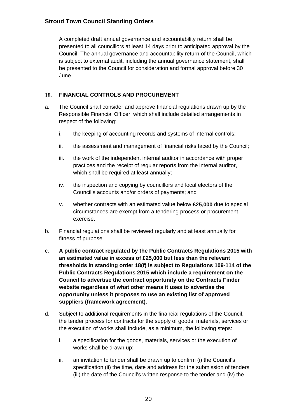A completed draft annual governance and accountability return shall be presented to all councillors at least 14 days prior to anticipated approval by the Council. The annual governance and accountability return of the Council, which is subject to external audit, including the annual governance statement, shall be presented to the Council for consideration and formal approval before 30 June.

#### <span id="page-19-0"></span>**FINANCIAL CONTROLS AND PROCUREMENT** 18.

- a. The Council shall consider and approve financial regulations drawn up by the Responsible Financial Officer, which shall include detailed arrangements in respect of the following:
	- i. the keeping of accounting records and systems of internal controls;
	- ii. the assessment and management of financial risks faced by the Council;
	- iii. the work of the independent internal auditor in accordance with proper practices and the receipt of regular reports from the internal auditor, which shall be required at least annually;
	- iv. the inspection and copying by councillors and local electors of the Council's accounts and/or orders of payments; and
	- v. whether contracts with an estimated value below **£25,000** due to special circumstances are exempt from a tendering process or procurement exercise.
- b. Financial regulations shall be reviewed regularly and at least annually for fitness of purpose.
- c. **A public contract regulated by the Public Contracts Regulations 2015 with an estimated value in excess of £25,000 but less than the relevant thresholds in standing order 18(f) is subject to Regulations 109-114 of the Public Contracts Regulations 2015 which include a requirement on the Council to advertise the contract opportunity on the Contracts Finder website regardless of what other means it uses to advertise the opportunity unless it proposes to use an existing list of approved suppliers (framework agreement).**
- d. Subject to additional requirements in the financial regulations of the Council, the tender process for contracts for the supply of goods, materials, services or the execution of works shall include, as a minimum, the following steps:
	- i. a specification for the goods, materials, services or the execution of works shall be drawn up;
	- ii. an invitation to tender shall be drawn up to confirm (i) the Council's specification (ii) the time, date and address for the submission of tenders (iii) the date of the Council's written response to the tender and (iv) the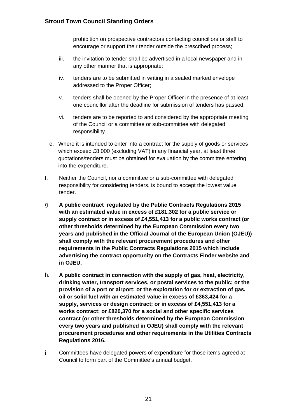prohibition on prospective contractors contacting councillors or staff to encourage or support their tender outside the prescribed process;

- iii. the invitation to tender shall be advertised in a local newspaper and in any other manner that is appropriate;
- iv. tenders are to be submitted in writing in a sealed marked envelope addressed to the Proper Officer;
- v. tenders shall be opened by the Proper Officer in the presence of at least one councillor after the deadline for submission of tenders has passed;
- vi. tenders are to be reported to and considered by the appropriate meeting of the Council or a committee or sub-committee with delegated responsibility.
- e. Where it is intended to enter into a contract for the supply of goods or services which exceed £8,000 (excluding VAT) in any financial year, at least three quotations/tenders must be obtained for evaluation by the committee entering into the expenditure.
- f. Neither the Council, nor a committee or a sub-committee with delegated responsibility for considering tenders, is bound to accept the lowest value tender.
- g. **A public contract regulated by the Public Contracts Regulations 2015 with an estimated value in excess of £181,302 for a public service or supply contract or in excess of £4,551,413 for a public works contract (or other thresholds determined by the European Commission every two years and published in the Official Journal of the European Union (OJEU)) shall comply with the relevant procurement procedures and other requirements in the Public Contracts Regulations 2015 which include advertising the contract opportunity on the Contracts Finder website and in OJEU.**
- h. **A public contract in connection with the supply of gas, heat, electricity, drinking water, transport services, or postal services to the public; or the provision of a port or airport; or the exploration for or extraction of gas, oil or solid fuel with an estimated value in excess of £363,424 for a supply, services or design contract; or in excess of £4,551,413 for a works contract; or £820,370 for a social and other specific services contract (or other thresholds determined by the European Commission every two years and published in OJEU) shall comply with the relevant procurement procedures and other requirements in the Utilities Contracts Regulations 2016.**
- i. Committees have delegated powers of expenditure for those items agreed at Council to form part of the Committee's annual budget.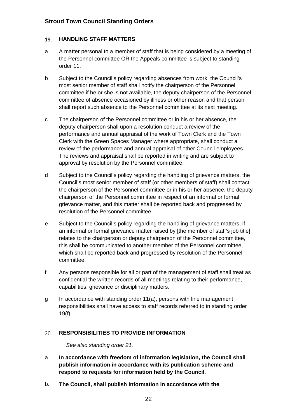#### <span id="page-21-0"></span>19. **HANDLING STAFF MATTERS**

- a A matter personal to a member of staff that is being considered by a meeting of the Personnel committee OR the Appeals committee is subject to standing order 11.
- b Subject to the Council's policy regarding absences from work, the Council's most senior member of staff shall notify the chairperson of the Personnel committee if he or she is not available, the deputy chairperson of the Personnel committee of absence occasioned by illness or other reason and that person shall report such absence to the Personnel committee at its next meeting.
- c The chairperson of the Personnel committee or in his or her absence, the deputy chairperson shall upon a resolution conduct a review of the performance and annual appraisal of the work of Town Clerk and the Town Clerk with the Green Spaces Manager where appropriate, shall conduct a review of the performance and annual appraisal of other Council employees. The reviews and appraisal shall be reported in writing and are subject to approval by resolution by the Personnel committee.
- d Subject to the Council's policy regarding the handling of grievance matters, the Council's most senior member of staff (or other members of staff) shall contact the chairperson of the Personnel committee or in his or her absence, the deputy chairperson of the Personnel committee in respect of an informal or formal grievance matter, and this matter shall be reported back and progressed by resolution of the Personnel committee.
- e Subject to the Council's policy regarding the handling of grievance matters, if an informal or formal grievance matter raised by [the member of staff's job title] relates to the chairperson or deputy chairperson of the Personnel committee, this shall be communicated to another member of the Personnel committee, which shall be reported back and progressed by resolution of the Personnel committee.
- f Any persons responsible for all or part of the management of staff shall treat as confidential the written records of all meetings relating to their performance, capabilities, grievance or disciplinary matters.
- g In accordance with standing order 11(a), persons with line management responsibilities shall have access to staff records referred to in standing order 19(f).

#### <span id="page-21-1"></span>**RESPONSIBILITIES TO PROVIDE INFORMATION**   $20.$

*See also standing order 21.*

- a **In accordance with freedom of information legislation, the Council shall publish information in accordance with its publication scheme and respond to requests for information held by the Council.**
- b. **The Council, shall publish information in accordance with the**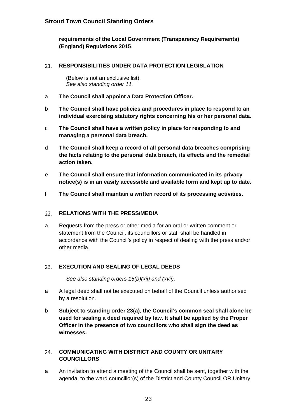**requirements of the Local Government (Transparency Requirements) (England) Regulations 2015**.

#### <span id="page-22-0"></span>21. **RESPONSIBILITIES UNDER DATA PROTECTION LEGISLATION**

(Below is not an exclusive list). *See also standing order 11.*

- a **The Council shall appoint a Data Protection Officer.**
- b **The Council shall have policies and procedures in place to respond to an individual exercising statutory rights concerning his or her personal data.**
- c **The Council shall have a written policy in place for responding to and managing a personal data breach.**
- d **The Council shall keep a record of all personal data breaches comprising the facts relating to the personal data breach, its effects and the remedial action taken.**
- e **The Council shall ensure that information communicated in its privacy notice(s) is in an easily accessible and available form and kept up to date.**
- f **The Council shall maintain a written record of its processing activities.**

#### <span id="page-22-1"></span> $22.$ **RELATIONS WITH THE PRESS/MEDIA**

a Requests from the press or other media for an oral or written comment or statement from the Council, its councillors or staff shall be handled in accordance with the Council's policy in respect of dealing with the press and/or other media.

#### <span id="page-22-2"></span>**EXECUTION AND SEALING OF LEGAL DEEDS**   $23.$

*See also standing orders 15(b)(xii) and (xvii).*

- a A legal deed shall not be executed on behalf of the Council unless authorised by a resolution.
- b **Subject to standing order 23(a), the Council's common seal shall alone be used for sealing a deed required by law. It shall be applied by the Proper Officer in the presence of two councillors who shall sign the deed as witnesses.**

### <span id="page-22-3"></span>**COMMUNICATING WITH DISTRICT AND COUNTY OR UNITARY**  24. **COUNCILLORS**

a An invitation to attend a meeting of the Council shall be sent, together with the agenda, to the ward councillor(s) of the District and County Council OR Unitary